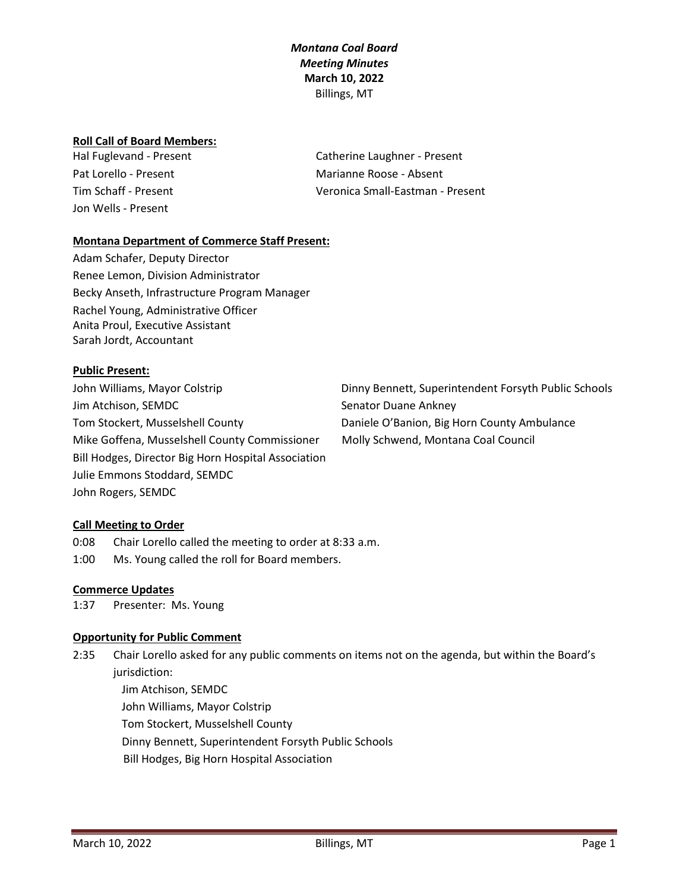#### **Roll Call of Board Members:**

Jon Wells - Present

Hal Fuglevand - Present Catherine Laughner - Present Pat Lorello - Present Marianne Roose - Absent Tim Schaff - Present Veronica Small-Eastman - Present

#### **Montana Department of Commerce Staff Present:**

Adam Schafer, Deputy Director Renee Lemon, Division Administrator Becky Anseth, Infrastructure Program Manager Rachel Young, Administrative Officer Anita Proul, Executive Assistant Sarah Jordt, Accountant

#### **Public Present:**

John Williams, Mayor Colstrip **Dinny Bennett, Superintendent Forsyth Public Schools** Jim Atchison, SEMDC Senator Duane Ankney Tom Stockert, Musselshell County Daniele O'Banion, Big Horn County Ambulance Mike Goffena, Musselshell County Commissioner Molly Schwend, Montana Coal Council Bill Hodges, Director Big Horn Hospital Association Julie Emmons Stoddard, SEMDC John Rogers, SEMDC

#### **Call Meeting to Order**

0:08 Chair Lorello called the meeting to order at 8:33 a.m.

1:00 Ms. Young called the roll for Board members.

#### **Commerce Updates**

1:37 Presenter: Ms. Young

#### **Opportunity for Public Comment**

2:35 Chair Lorello asked for any public comments on items not on the agenda, but within the Board's jurisdiction:

 Jim Atchison, SEMDC John Williams, Mayor Colstrip Tom Stockert, Musselshell County Dinny Bennett, Superintendent Forsyth Public Schools Bill Hodges, Big Horn Hospital Association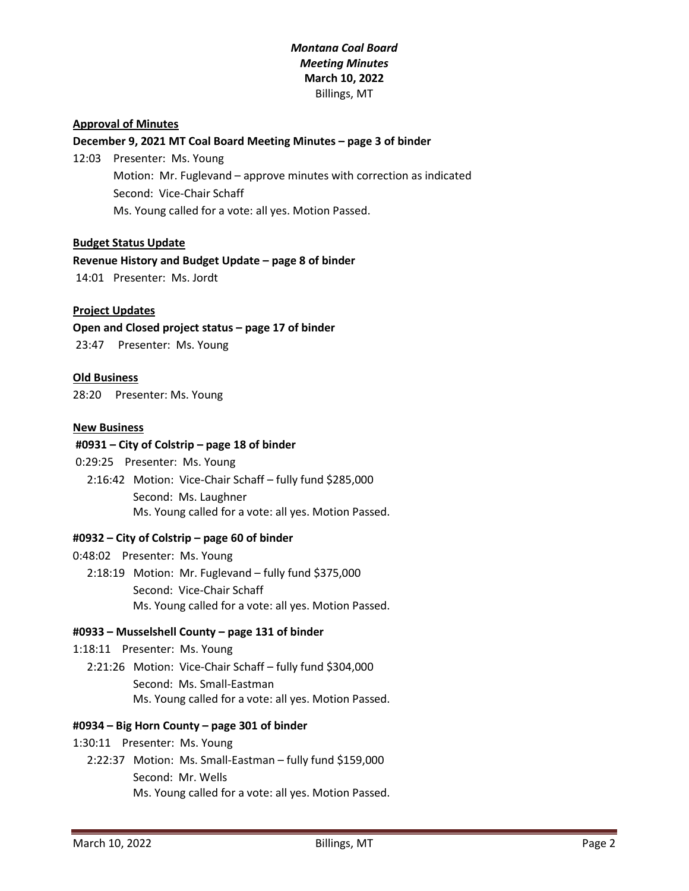## **Approval of Minutes**

#### **December 9, 2021 MT Coal Board Meeting Minutes – page 3 of binder**

12:03 Presenter: Ms. Young Motion: Mr. Fuglevand – approve minutes with correction as indicated Second: Vice-Chair Schaff Ms. Young called for a vote: all yes. Motion Passed.

#### **Budget Status Update**

#### **Revenue History and Budget Update – page 8 of binder**

14:01 Presenter: Ms. Jordt

#### **Project Updates**

#### **Open and Closed project status – page 17 of binder**

23:47 Presenter: Ms. Young

#### **Old Business**

28:20 Presenter: Ms. Young

#### **New Business**

#### **#0931 – City of Colstrip – page 18 of binder**

- 0:29:25 Presenter: Ms. Young 2:16:42 Motion: Vice-Chair Schaff – fully fund \$285,000 Second: Ms. Laughner
	- Ms. Young called for a vote: all yes. Motion Passed.

#### **#0932 – City of Colstrip – page 60 of binder**

- 0:48:02 Presenter: Ms. Young
	- 2:18:19 Motion: Mr. Fuglevand fully fund \$375,000 Second: Vice-Chair Schaff Ms. Young called for a vote: all yes. Motion Passed.

#### **#0933 – Musselshell County – page 131 of binder**

#### 1:18:11 Presenter: Ms. Young

 2:21:26 Motion: Vice-Chair Schaff – fully fund \$304,000 Second: Ms. Small-Eastman Ms. Young called for a vote: all yes. Motion Passed.

#### **#0934 – Big Horn County – page 301 of binder**

## 1:30:11 Presenter: Ms. Young

 2:22:37 Motion: Ms. Small-Eastman – fully fund \$159,000 Second: Mr. Wells Ms. Young called for a vote: all yes. Motion Passed.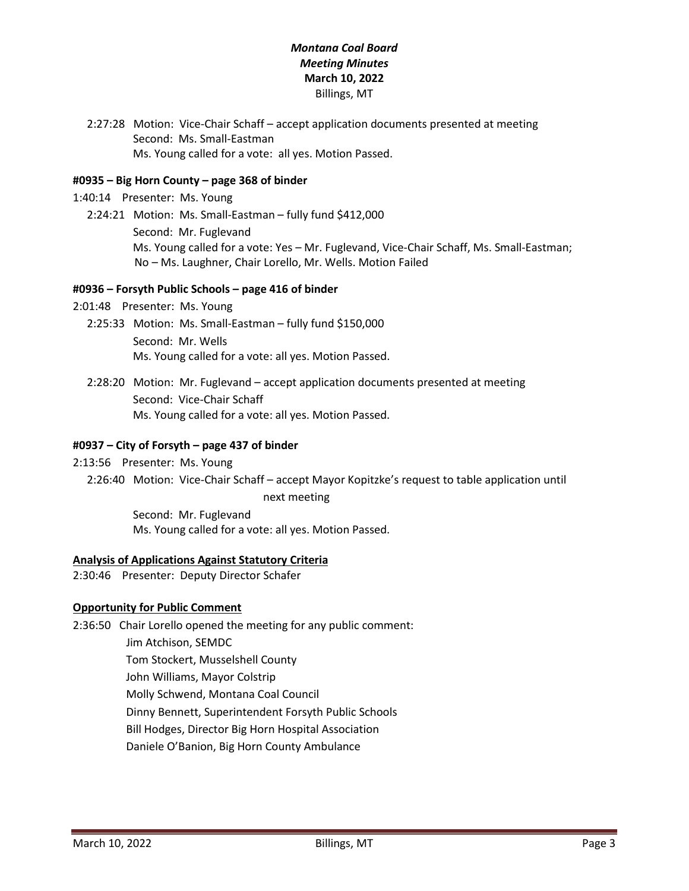2:27:28 Motion: Vice-Chair Schaff – accept application documents presented at meeting Second: Ms. Small-Eastman Ms. Young called for a vote: all yes. Motion Passed.

## **#0935 – Big Horn County – page 368 of binder**

1:40:14 Presenter: Ms. Young

 2:24:21 Motion: Ms. Small-Eastman – fully fund \$412,000 Second: Mr. Fuglevand Ms. Young called for a vote: Yes – Mr. Fuglevand, Vice-Chair Schaff, Ms. Small-Eastman; No – Ms. Laughner, Chair Lorello, Mr. Wells. Motion Failed

#### **#0936 – Forsyth Public Schools – page 416 of binder**

- 2:01:48 Presenter: Ms. Young
	- 2:25:33 Motion: Ms. Small-Eastman fully fund \$150,000 Second: Mr. Wells Ms. Young called for a vote: all yes. Motion Passed.
	- 2:28:20 Motion: Mr. Fuglevand accept application documents presented at meeting Second: Vice-Chair Schaff Ms. Young called for a vote: all yes. Motion Passed.

#### **#0937 – City of Forsyth – page 437 of binder**

- 2:13:56 Presenter: Ms. Young
	- 2:26:40 Motion: Vice-Chair Schaff accept Mayor Kopitzke's request to table application until next meeting

 Second: Mr. Fuglevand Ms. Young called for a vote: all yes. Motion Passed.

#### **Analysis of Applications Against Statutory Criteria**

2:30:46 Presenter: Deputy Director Schafer

## **Opportunity for Public Comment**

2:36:50 Chair Lorello opened the meeting for any public comment:

Jim Atchison, SEMDC

Tom Stockert, Musselshell County

John Williams, Mayor Colstrip

Molly Schwend, Montana Coal Council

Dinny Bennett, Superintendent Forsyth Public Schools

Bill Hodges, Director Big Horn Hospital Association

Daniele O'Banion, Big Horn County Ambulance